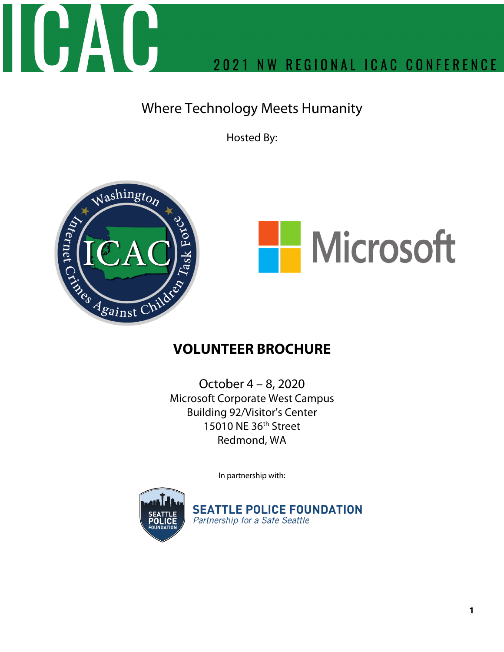

# Where Technology Meets Humanity

Hosted By:





### **VOLUNTEER BROCHURE**

October 4 – 8, 2020 Microsoft Corporate West Campus Building 92/Visitor's Center 15010 NE 36th Street Redmond, WA

In partnership with:



**SEATTLE POLICE FOUNDATION** Partnership for a Safe Seattle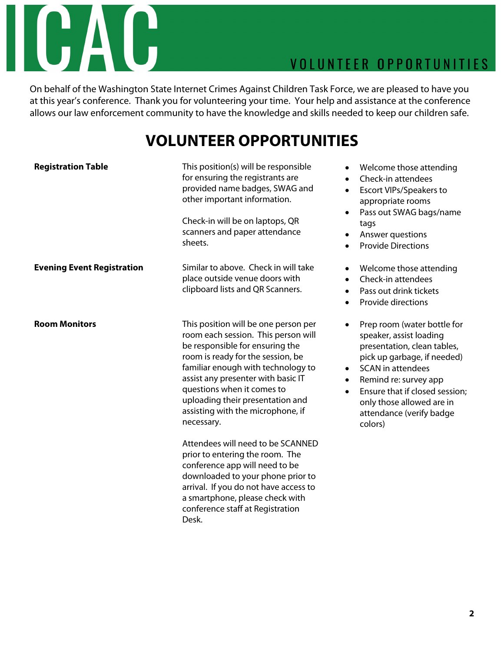# ICAC

## **VOLUNTEER OPPORTUNITIES**

On behalf of the Washington State Internet Crimes Against Children Task Force, we are pleased to have you at this year's conference. Thank you for volunteering your time. Your help and assistance at the conference allows our law enforcement community to have the knowledge and skills needed to keep our children safe.

# **VOLUNTEER OPPORTUNITIES**

| <b>Registration Table</b>         | This position(s) will be responsible<br>for ensuring the registrants are<br>provided name badges, SWAG and<br>other important information.<br>Check-in will be on laptops, QR<br>scanners and paper attendance<br>sheets.                                                                                                                            | Welcome those attending<br>Check-in attendees<br><b>Escort VIPs/Speakers to</b><br>$\bullet$<br>appropriate rooms<br>Pass out SWAG bags/name<br>$\bullet$<br>tags<br>Answer questions<br>٠<br><b>Provide Directions</b><br>$\bullet$                                                                                        |
|-----------------------------------|------------------------------------------------------------------------------------------------------------------------------------------------------------------------------------------------------------------------------------------------------------------------------------------------------------------------------------------------------|-----------------------------------------------------------------------------------------------------------------------------------------------------------------------------------------------------------------------------------------------------------------------------------------------------------------------------|
| <b>Evening Event Registration</b> | Similar to above. Check in will take<br>place outside venue doors with<br>clipboard lists and QR Scanners.                                                                                                                                                                                                                                           | Welcome those attending<br>٠<br>Check-in attendees<br>$\bullet$<br>Pass out drink tickets<br>$\bullet$<br>Provide directions<br>$\bullet$                                                                                                                                                                                   |
| <b>Room Monitors</b>              | This position will be one person per<br>room each session. This person will<br>be responsible for ensuring the<br>room is ready for the session, be<br>familiar enough with technology to<br>assist any presenter with basic IT<br>questions when it comes to<br>uploading their presentation and<br>assisting with the microphone, if<br>necessary. | Prep room (water bottle for<br>$\bullet$<br>speaker, assist loading<br>presentation, clean tables,<br>pick up garbage, if needed)<br><b>SCAN</b> in attendees<br>$\bullet$<br>Remind re: survey app<br>٠<br>Ensure that if closed session;<br>$\bullet$<br>only those allowed are in<br>attendance (verify badge<br>colors) |
|                                   | Attendees will need to be SCANNED<br>prior to entering the room. The<br>conference app will need to be<br>downloaded to your phone prior to<br>arrival. If you do not have access to<br>a smartphone, please check with<br>conference staff at Registration<br>Desk.                                                                                 |                                                                                                                                                                                                                                                                                                                             |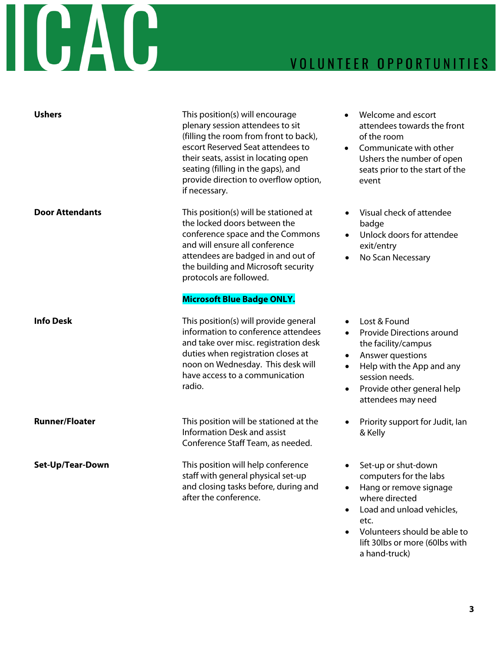# ICAC

# VOLUNTEER OPPORTUNITIES

| <b>Ushers</b>          | This position(s) will encourage<br>plenary session attendees to sit<br>(filling the room from front to back),<br>escort Reserved Seat attendees to<br>their seats, assist in locating open<br>seating (filling in the gaps), and<br>provide direction to overflow option,<br>if necessary. | Welcome and escort<br>$\bullet$<br>attendees towards the front<br>of the room<br>Communicate with other<br>$\bullet$<br>Ushers the number of open<br>seats prior to the start of the<br>event                                                      |
|------------------------|--------------------------------------------------------------------------------------------------------------------------------------------------------------------------------------------------------------------------------------------------------------------------------------------|----------------------------------------------------------------------------------------------------------------------------------------------------------------------------------------------------------------------------------------------------|
| <b>Door Attendants</b> | This position(s) will be stationed at<br>the locked doors between the<br>conference space and the Commons<br>and will ensure all conference<br>attendees are badged in and out of<br>the building and Microsoft security<br>protocols are followed.                                        | Visual check of attendee<br>badge<br>Unlock doors for attendee<br>exit/entry<br>No Scan Necessary<br>$\bullet$                                                                                                                                     |
|                        | <b>Microsoft Blue Badge ONLY.</b>                                                                                                                                                                                                                                                          |                                                                                                                                                                                                                                                    |
| <b>Info Desk</b>       | This position(s) will provide general<br>information to conference attendees<br>and take over misc. registration desk<br>duties when registration closes at<br>noon on Wednesday. This desk will<br>have access to a communication<br>radio.                                               | Lost & Found<br><b>Provide Directions around</b><br>$\bullet$<br>the facility/campus<br>Answer questions<br>$\bullet$<br>Help with the App and any<br>$\bullet$<br>session needs.<br>Provide other general help<br>$\bullet$<br>attendees may need |
| <b>Runner/Floater</b>  | This position will be stationed at the<br><b>Information Desk and assist</b><br>Conference Staff Team, as needed.                                                                                                                                                                          | Priority support for Judit, lan<br>& Kelly                                                                                                                                                                                                         |
| Set-Up/Tear-Down       | This position will help conference<br>staff with general physical set-up<br>and closing tasks before, during and<br>after the conference.                                                                                                                                                  | Set-up or shut-down<br>computers for the labs<br>Hang or remove signage<br>where directed<br>Load and unload vehicles,<br>etc.<br>Volunteers should be able to<br>lift 30lbs or more (60lbs with<br>a hand-truck)                                  |